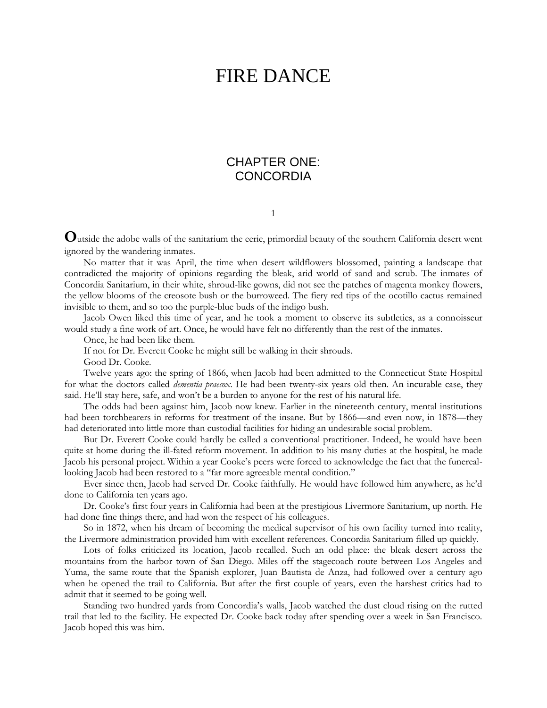# FIRE DANCE

## CHAPTER ONE: **CONCORDIA**

1

**O**utside the adobe walls of the sanitarium the eerie, primordial beauty of the southern California desert went ignored by the wandering inmates.

No matter that it was April, the time when desert wildflowers blossomed, painting a landscape that contradicted the majority of opinions regarding the bleak, arid world of sand and scrub. The inmates of Concordia Sanitarium, in their white, shroud-like gowns, did not see the patches of magenta monkey flowers, the yellow blooms of the creosote bush or the burroweed. The fiery red tips of the ocotillo cactus remained invisible to them, and so too the purple-blue buds of the indigo bush.

Jacob Owen liked this time of year, and he took a moment to observe its subtleties, as a connoisseur would study a fine work of art. Once, he would have felt no differently than the rest of the inmates.

Once, he had been like them.

If not for Dr. Everett Cooke he might still be walking in their shrouds.

Good Dr. Cooke.

Twelve years ago: the spring of 1866, when Jacob had been admitted to the Connecticut State Hospital for what the doctors called *dementia praecox*. He had been twenty-six years old then. An incurable case, they said. He'll stay here, safe, and won't be a burden to anyone for the rest of his natural life.

The odds had been against him, Jacob now knew. Earlier in the nineteenth century, mental institutions had been torchbearers in reforms for treatment of the insane. But by 1866—and even now, in 1878—they had deteriorated into little more than custodial facilities for hiding an undesirable social problem.

But Dr. Everett Cooke could hardly be called a conventional practitioner. Indeed, he would have been quite at home during the ill-fated reform movement. In addition to his many duties at the hospital, he made Jacob his personal project. Within a year Cooke's peers were forced to acknowledge the fact that the funereallooking Jacob had been restored to a "far more agreeable mental condition."

Ever since then, Jacob had served Dr. Cooke faithfully. He would have followed him anywhere, as he'd done to California ten years ago.

Dr. Cooke's first four years in California had been at the prestigious Livermore Sanitarium, up north. He had done fine things there, and had won the respect of his colleagues.

So in 1872, when his dream of becoming the medical supervisor of his own facility turned into reality, the Livermore administration provided him with excellent references. Concordia Sanitarium filled up quickly.

Lots of folks criticized its location, Jacob recalled. Such an odd place: the bleak desert across the mountains from the harbor town of San Diego. Miles off the stagecoach route between Los Angeles and Yuma, the same route that the Spanish explorer, Juan Bautista de Anza, had followed over a century ago when he opened the trail to California. But after the first couple of years, even the harshest critics had to admit that it seemed to be going well.

Standing two hundred yards from Concordia's walls, Jacob watched the dust cloud rising on the rutted trail that led to the facility. He expected Dr. Cooke back today after spending over a week in San Francisco. Jacob hoped this was him.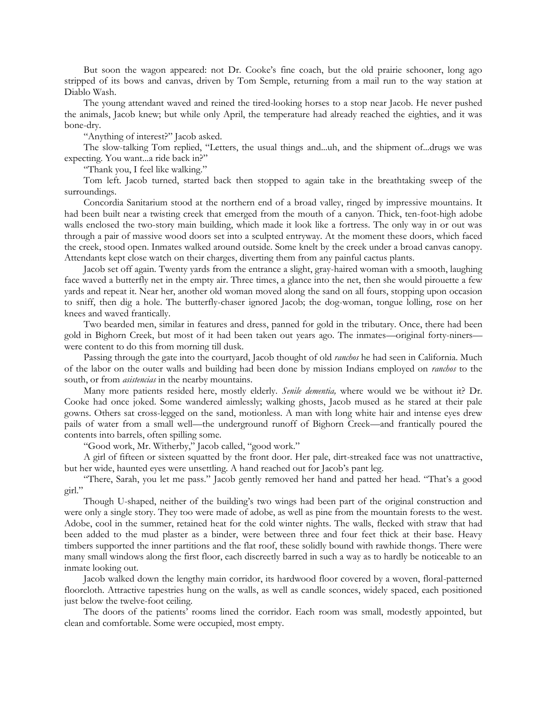But soon the wagon appeared: not Dr. Cooke's fine coach, but the old prairie schooner, long ago stripped of its bows and canvas, driven by Tom Semple, returning from a mail run to the way station at Diablo Wash.

The young attendant waved and reined the tired-looking horses to a stop near Jacob. He never pushed the animals, Jacob knew; but while only April, the temperature had already reached the eighties, and it was bone-dry.

"Anything of interest?" Jacob asked.

The slow-talking Tom replied, "Letters, the usual things and...uh, and the shipment of...drugs we was expecting. You want...a ride back in?"

"Thank you, I feel like walking."

Tom left. Jacob turned, started back then stopped to again take in the breathtaking sweep of the surroundings.

Concordia Sanitarium stood at the northern end of a broad valley, ringed by impressive mountains. It had been built near a twisting creek that emerged from the mouth of a canyon. Thick, ten-foot-high adobe walls enclosed the two-story main building, which made it look like a fortress. The only way in or out was through a pair of massive wood doors set into a sculpted entryway. At the moment these doors, which faced the creek, stood open. Inmates walked around outside. Some knelt by the creek under a broad canvas canopy. Attendants kept close watch on their charges, diverting them from any painful cactus plants.

Jacob set off again. Twenty yards from the entrance a slight, gray-haired woman with a smooth, laughing face waved a butterfly net in the empty air. Three times, a glance into the net, then she would pirouette a few yards and repeat it. Near her, another old woman moved along the sand on all fours, stopping upon occasion to sniff, then dig a hole. The butterfly-chaser ignored Jacob; the dog-woman, tongue lolling, rose on her knees and waved frantically.

Two bearded men, similar in features and dress, panned for gold in the tributary. Once, there had been gold in Bighorn Creek, but most of it had been taken out years ago. The inmates—original forty-niners were content to do this from morning till dusk.

Passing through the gate into the courtyard, Jacob thought of old *ranchos* he had seen in California. Much of the labor on the outer walls and building had been done by mission Indians employed on *ranchos* to the south, or from *asistencias* in the nearby mountains.

Many more patients resided here, mostly elderly. *Senile dementia,* where would we be without it? Dr. Cooke had once joked. Some wandered aimlessly; walking ghosts, Jacob mused as he stared at their pale gowns. Others sat cross-legged on the sand, motionless. A man with long white hair and intense eyes drew pails of water from a small well—the underground runoff of Bighorn Creek—and frantically poured the contents into barrels, often spilling some.

"Good work, Mr. Witherby," Jacob called, "good work."

A girl of fifteen or sixteen squatted by the front door. Her pale, dirt-streaked face was not unattractive, but her wide, haunted eyes were unsettling. A hand reached out for Jacob's pant leg.

"There, Sarah, you let me pass." Jacob gently removed her hand and patted her head. "That's a good girl."

Though U-shaped, neither of the building's two wings had been part of the original construction and were only a single story. They too were made of adobe, as well as pine from the mountain forests to the west. Adobe, cool in the summer, retained heat for the cold winter nights. The walls, flecked with straw that had been added to the mud plaster as a binder, were between three and four feet thick at their base. Heavy timbers supported the inner partitions and the flat roof, these solidly bound with rawhide thongs. There were many small windows along the first floor, each discreetly barred in such a way as to hardly be noticeable to an inmate looking out.

Jacob walked down the lengthy main corridor, its hardwood floor covered by a woven, floral-patterned floorcloth. Attractive tapestries hung on the walls, as well as candle sconces, widely spaced, each positioned just below the twelve-foot ceiling.

The doors of the patients' rooms lined the corridor. Each room was small, modestly appointed, but clean and comfortable. Some were occupied, most empty.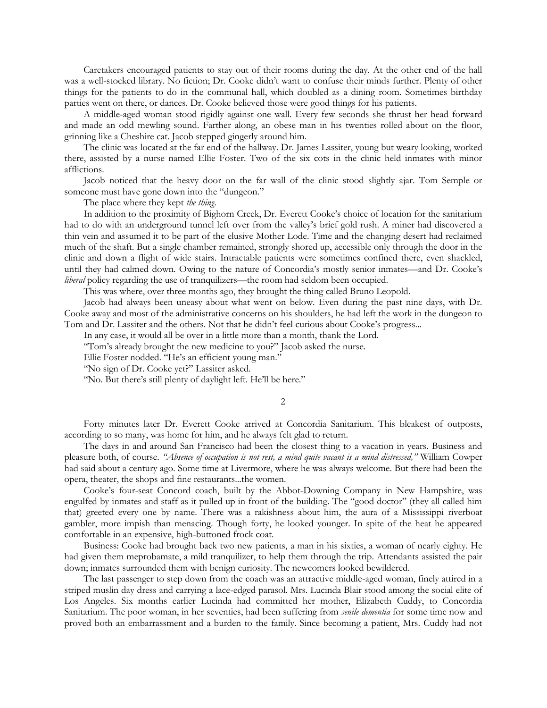Caretakers encouraged patients to stay out of their rooms during the day. At the other end of the hall was a well-stocked library. No fiction; Dr. Cooke didn't want to confuse their minds further. Plenty of other things for the patients to do in the communal hall, which doubled as a dining room. Sometimes birthday parties went on there, or dances. Dr. Cooke believed those were good things for his patients.

A middle-aged woman stood rigidly against one wall. Every few seconds she thrust her head forward and made an odd mewling sound. Farther along, an obese man in his twenties rolled about on the floor, grinning like a Cheshire cat. Jacob stepped gingerly around him.

The clinic was located at the far end of the hallway. Dr. James Lassiter, young but weary looking, worked there, assisted by a nurse named Ellie Foster. Two of the six cots in the clinic held inmates with minor afflictions.

Jacob noticed that the heavy door on the far wall of the clinic stood slightly ajar. Tom Semple or someone must have gone down into the "dungeon."

The place where they kept *the thing*.

In addition to the proximity of Bighorn Creek, Dr. Everett Cooke's choice of location for the sanitarium had to do with an underground tunnel left over from the valley's brief gold rush. A miner had discovered a thin vein and assumed it to be part of the elusive Mother Lode. Time and the changing desert had reclaimed much of the shaft. But a single chamber remained, strongly shored up, accessible only through the door in the clinic and down a flight of wide stairs. Intractable patients were sometimes confined there, even shackled, until they had calmed down. Owing to the nature of Concordia's mostly senior inmates—and Dr. Cooke's *liberal* policy regarding the use of tranquilizers—the room had seldom been occupied.

This was where, over three months ago, they brought the thing called Bruno Leopold.

Jacob had always been uneasy about what went on below. Even during the past nine days, with Dr. Cooke away and most of the administrative concerns on his shoulders, he had left the work in the dungeon to Tom and Dr. Lassiter and the others. Not that he didn't feel curious about Cooke's progress...

In any case, it would all be over in a little more than a month, thank the Lord.

"Tom's already brought the new medicine to you?" Jacob asked the nurse.

Ellie Foster nodded. "He's an efficient young man."

"No sign of Dr. Cooke yet?" Lassiter asked.

"No. But there's still plenty of daylight left. He'll be here."

#### 2

Forty minutes later Dr. Everett Cooke arrived at Concordia Sanitarium. This bleakest of outposts, according to so many, was home for him, and he always felt glad to return.

The days in and around San Francisco had been the closest thing to a vacation in years. Business and pleasure both, of course. *"Absence of occupation is not rest, a mind quite vacant is a mind distressed,"* William Cowper had said about a century ago. Some time at Livermore, where he was always welcome. But there had been the opera, theater, the shops and fine restaurants...the women.

Cooke's four-seat Concord coach, built by the Abbot-Downing Company in New Hampshire, was engulfed by inmates and staff as it pulled up in front of the building. The "good doctor" (they all called him that) greeted every one by name. There was a rakishness about him, the aura of a Mississippi riverboat gambler, more impish than menacing. Though forty, he looked younger. In spite of the heat he appeared comfortable in an expensive, high-buttoned frock coat.

Business: Cooke had brought back two new patients, a man in his sixties, a woman of nearly eighty. He had given them meprobamate, a mild tranquilizer, to help them through the trip. Attendants assisted the pair down; inmates surrounded them with benign curiosity. The newcomers looked bewildered.

The last passenger to step down from the coach was an attractive middle-aged woman, finely attired in a striped muslin day dress and carrying a lace-edged parasol. Mrs. Lucinda Blair stood among the social elite of Los Angeles. Six months earlier Lucinda had committed her mother, Elizabeth Cuddy, to Concordia Sanitarium. The poor woman, in her seventies, had been suffering from *senile dementia* for some time now and proved both an embarrassment and a burden to the family. Since becoming a patient, Mrs. Cuddy had not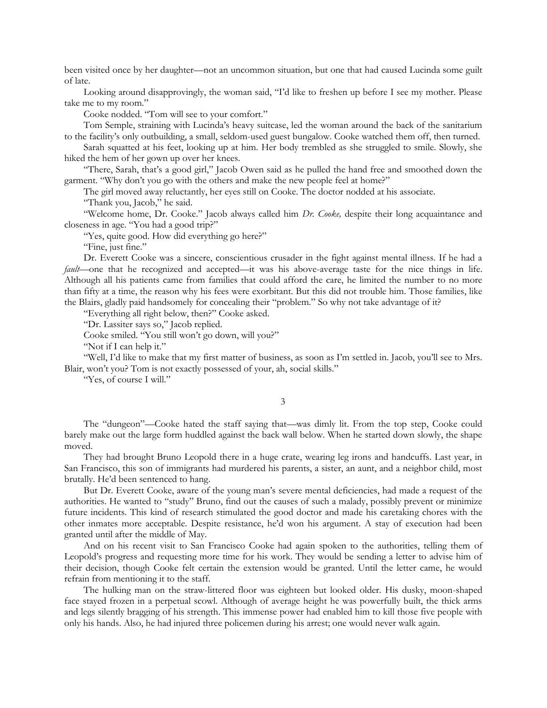been visited once by her daughter—not an uncommon situation, but one that had caused Lucinda some guilt of late.

Looking around disapprovingly, the woman said, "I'd like to freshen up before I see my mother. Please take me to my room."

Cooke nodded. "Tom will see to your comfort."

Tom Semple, straining with Lucinda's heavy suitcase, led the woman around the back of the sanitarium to the facility's only outbuilding, a small, seldom-used guest bungalow. Cooke watched them off, then turned.

Sarah squatted at his feet, looking up at him. Her body trembled as she struggled to smile. Slowly, she hiked the hem of her gown up over her knees.

"There, Sarah, that's a good girl," Jacob Owen said as he pulled the hand free and smoothed down the garment. "Why don't you go with the others and make the new people feel at home?"

The girl moved away reluctantly, her eyes still on Cooke. The doctor nodded at his associate.

"Thank you, Jacob," he said.

"Welcome home, Dr. Cooke." Jacob always called him *Dr. Cooke,* despite their long acquaintance and closeness in age. "You had a good trip?"

"Yes, quite good. How did everything go here?"

"Fine, just fine."

Dr. Everett Cooke was a sincere, conscientious crusader in the fight against mental illness. If he had a *fault*—one that he recognized and accepted—it was his above-average taste for the nice things in life. Although all his patients came from families that could afford the care, he limited the number to no more than fifty at a time, the reason why his fees were exorbitant. But this did not trouble him. Those families, like the Blairs, gladly paid handsomely for concealing their "problem." So why not take advantage of it?

"Everything all right below, then?" Cooke asked.

"Dr. Lassiter says so," Jacob replied.

Cooke smiled. "You still won't go down, will you?"

"Not if I can help it."

"Well, I'd like to make that my first matter of business, as soon as I'm settled in. Jacob, you'll see to Mrs. Blair, won't you? Tom is not exactly possessed of your, ah, social skills."

"Yes, of course I will."

3

The "dungeon"—Cooke hated the staff saying that—was dimly lit. From the top step, Cooke could barely make out the large form huddled against the back wall below. When he started down slowly, the shape moved.

They had brought Bruno Leopold there in a huge crate, wearing leg irons and handcuffs. Last year, in San Francisco, this son of immigrants had murdered his parents, a sister, an aunt, and a neighbor child, most brutally. He'd been sentenced to hang.

But Dr. Everett Cooke, aware of the young man's severe mental deficiencies, had made a request of the authorities. He wanted to "study" Bruno, find out the causes of such a malady, possibly prevent or minimize future incidents. This kind of research stimulated the good doctor and made his caretaking chores with the other inmates more acceptable. Despite resistance, he'd won his argument. A stay of execution had been granted until after the middle of May.

And on his recent visit to San Francisco Cooke had again spoken to the authorities, telling them of Leopold's progress and requesting more time for his work. They would be sending a letter to advise him of their decision, though Cooke felt certain the extension would be granted. Until the letter came, he would refrain from mentioning it to the staff.

The hulking man on the straw-littered floor was eighteen but looked older. His dusky, moon-shaped face stayed frozen in a perpetual scowl. Although of average height he was powerfully built, the thick arms and legs silently bragging of his strength. This immense power had enabled him to kill those five people with only his hands. Also, he had injured three policemen during his arrest; one would never walk again.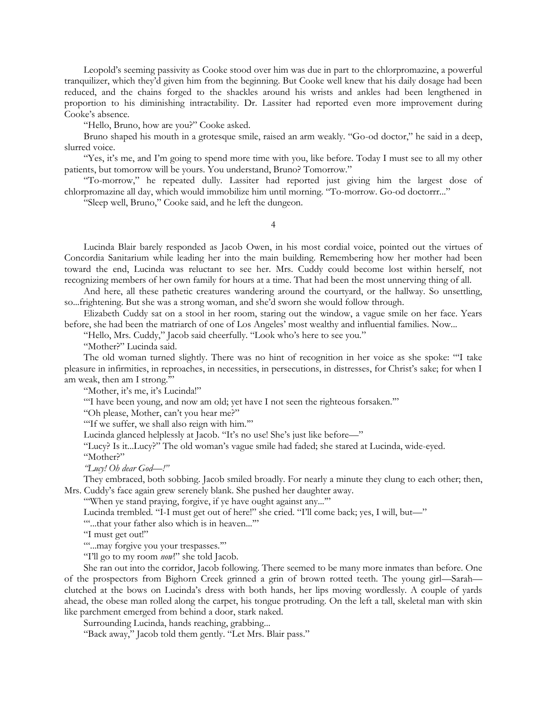Leopold's seeming passivity as Cooke stood over him was due in part to the chlorpromazine, a powerful tranquilizer, which they'd given him from the beginning. But Cooke well knew that his daily dosage had been reduced, and the chains forged to the shackles around his wrists and ankles had been lengthened in proportion to his diminishing intractability. Dr. Lassiter had reported even more improvement during Cooke's absence.

"Hello, Bruno, how are you?" Cooke asked.

Bruno shaped his mouth in a grotesque smile, raised an arm weakly. "Go-od doctor," he said in a deep, slurred voice.

"Yes, it's me, and I'm going to spend more time with you, like before. Today I must see to all my other patients, but tomorrow will be yours. You understand, Bruno? Tomorrow."

"To-morrow," he repeated dully. Lassiter had reported just giving him the largest dose of chlorpromazine all day, which would immobilize him until morning. "To-morrow. Go-od doctorrr..."

"Sleep well, Bruno," Cooke said, and he left the dungeon.

4

Lucinda Blair barely responded as Jacob Owen, in his most cordial voice, pointed out the virtues of Concordia Sanitarium while leading her into the main building. Remembering how her mother had been toward the end, Lucinda was reluctant to see her. Mrs. Cuddy could become lost within herself, not recognizing members of her own family for hours at a time. That had been the most unnerving thing of all.

And here, all these pathetic creatures wandering around the courtyard, or the hallway. So unsettling, so...frightening. But she was a strong woman, and she'd sworn she would follow through.

Elizabeth Cuddy sat on a stool in her room, staring out the window, a vague smile on her face. Years before, she had been the matriarch of one of Los Angeles' most wealthy and influential families. Now...

"Hello, Mrs. Cuddy," Jacob said cheerfully. "Look who's here to see you."

"Mother?" Lucinda said.

The old woman turned slightly. There was no hint of recognition in her voice as she spoke: "'I take pleasure in infirmities, in reproaches, in necessities, in persecutions, in distresses, for Christ's sake; for when I am weak, then am I strong.'"

"Mother, it's me, it's Lucinda!"

"I have been young, and now am old; yet have I not seen the righteous forsaken."

"Oh please, Mother, can't you hear me?"

"If we suffer, we shall also reign with him."

Lucinda glanced helplessly at Jacob. "It's no use! She's just like before—"

"Lucy? Is it...Lucy?" The old woman's vague smile had faded; she stared at Lucinda, wide-eyed.

"Mother?"

*"Lucy! Oh dear God—!"*

They embraced, both sobbing. Jacob smiled broadly. For nearly a minute they clung to each other; then, Mrs. Cuddy's face again grew serenely blank. She pushed her daughter away.

"'When ye stand praying, forgive, if ye have ought against any...'"

Lucinda trembled. "I-I must get out of here!" she cried. "I'll come back; yes, I will, but—"

"'...that your father also which is in heaven...'"

"I must get out!"

""...may forgive you your trespasses.""

"I'll go to my room *now*!" she told Jacob.

She ran out into the corridor, Jacob following. There seemed to be many more inmates than before. One of the prospectors from Bighorn Creek grinned a grin of brown rotted teeth. The young girl—Sarah clutched at the bows on Lucinda's dress with both hands, her lips moving wordlessly. A couple of yards ahead, the obese man rolled along the carpet, his tongue protruding. On the left a tall, skeletal man with skin like parchment emerged from behind a door, stark naked.

Surrounding Lucinda, hands reaching, grabbing...

"Back away," Jacob told them gently. "Let Mrs. Blair pass."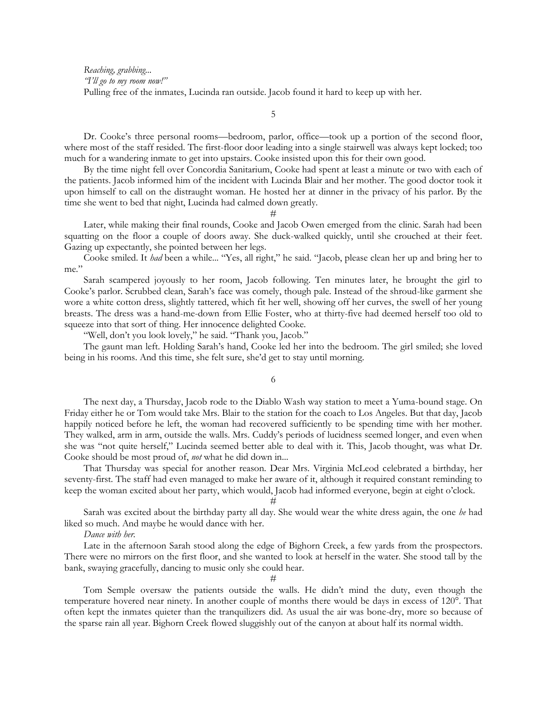*Reaching, grabbing... "I'll go to my room now!"* Pulling free of the inmates, Lucinda ran outside. Jacob found it hard to keep up with her.

5

Dr. Cooke's three personal rooms—bedroom, parlor, office—took up a portion of the second floor, where most of the staff resided. The first-floor door leading into a single stairwell was always kept locked; too much for a wandering inmate to get into upstairs. Cooke insisted upon this for their own good.

By the time night fell over Concordia Sanitarium, Cooke had spent at least a minute or two with each of the patients. Jacob informed him of the incident with Lucinda Blair and her mother. The good doctor took it upon himself to call on the distraught woman. He hosted her at dinner in the privacy of his parlor. By the time she went to bed that night, Lucinda had calmed down greatly.

#

Later, while making their final rounds, Cooke and Jacob Owen emerged from the clinic. Sarah had been squatting on the floor a couple of doors away. She duck-walked quickly, until she crouched at their feet. Gazing up expectantly, she pointed between her legs.

Cooke smiled. It *had* been a while... "Yes, all right," he said. "Jacob, please clean her up and bring her to me."

Sarah scampered joyously to her room, Jacob following. Ten minutes later, he brought the girl to Cooke's parlor. Scrubbed clean, Sarah's face was comely, though pale. Instead of the shroud-like garment she wore a white cotton dress, slightly tattered, which fit her well, showing off her curves, the swell of her young breasts. The dress was a hand-me-down from Ellie Foster, who at thirty-five had deemed herself too old to squeeze into that sort of thing. Her innocence delighted Cooke.

"Well, don't you look lovely," he said. "Thank you, Jacob."

The gaunt man left. Holding Sarah's hand, Cooke led her into the bedroom. The girl smiled; she loved being in his rooms. And this time, she felt sure, she'd get to stay until morning.

6

The next day, a Thursday, Jacob rode to the Diablo Wash way station to meet a Yuma-bound stage. On Friday either he or Tom would take Mrs. Blair to the station for the coach to Los Angeles. But that day, Jacob happily noticed before he left, the woman had recovered sufficiently to be spending time with her mother. They walked, arm in arm, outside the walls. Mrs. Cuddy's periods of lucidness seemed longer, and even when she was "not quite herself," Lucinda seemed better able to deal with it. This, Jacob thought, was what Dr. Cooke should be most proud of, *not* what he did down in...

That Thursday was special for another reason. Dear Mrs. Virginia McLeod celebrated a birthday, her seventy-first. The staff had even managed to make her aware of it, although it required constant reminding to keep the woman excited about her party, which would, Jacob had informed everyone, begin at eight o'clock.

### #

Sarah was excited about the birthday party all day. She would wear the white dress again, the one *he* had liked so much. And maybe he would dance with her.

#### *Dance with her.*

Late in the afternoon Sarah stood along the edge of Bighorn Creek, a few yards from the prospectors. There were no mirrors on the first floor, and she wanted to look at herself in the water. She stood tall by the bank, swaying gracefully, dancing to music only she could hear.

 $#$ 

Tom Semple oversaw the patients outside the walls. He didn't mind the duty, even though the temperature hovered near ninety. In another couple of months there would be days in excess of 120°. That often kept the inmates quieter than the tranquilizers did. As usual the air was bone-dry, more so because of the sparse rain all year. Bighorn Creek flowed sluggishly out of the canyon at about half its normal width.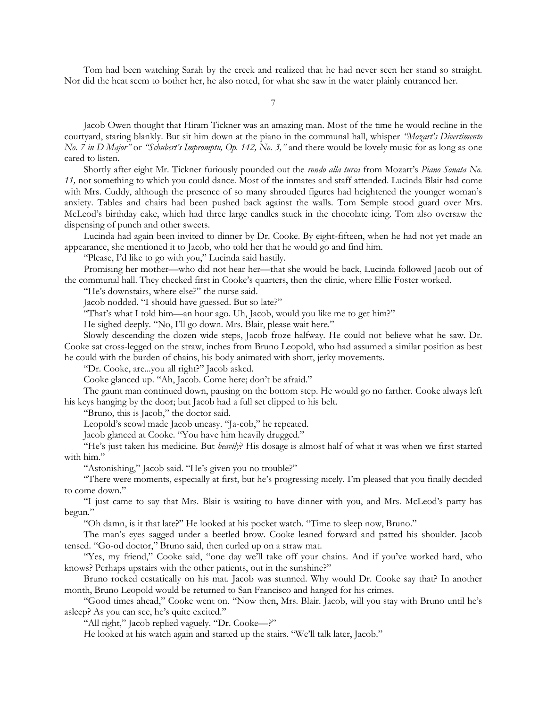Tom had been watching Sarah by the creek and realized that he had never seen her stand so straight. Nor did the heat seem to bother her, he also noted, for what she saw in the water plainly entranced her.

Jacob Owen thought that Hiram Tickner was an amazing man. Most of the time he would recline in the courtyard, staring blankly. But sit him down at the piano in the communal hall, whisper *"Mozart's Divertimento No. 7 in D Major"* or *"Schubert's Impromptu, Op. 142, No. 3,"* and there would be lovely music for as long as one cared to listen.

Shortly after eight Mr. Tickner furiously pounded out the *rondo alla turca* from Mozart's *Piano Sonata No. 11,* not something to which you could dance. Most of the inmates and staff attended. Lucinda Blair had come with Mrs. Cuddy, although the presence of so many shrouded figures had heightened the younger woman's anxiety. Tables and chairs had been pushed back against the walls. Tom Semple stood guard over Mrs. McLeod's birthday cake, which had three large candles stuck in the chocolate icing. Tom also oversaw the dispensing of punch and other sweets.

Lucinda had again been invited to dinner by Dr. Cooke. By eight-fifteen, when he had not yet made an appearance, she mentioned it to Jacob, who told her that he would go and find him.

"Please, I'd like to go with you," Lucinda said hastily.

Promising her mother—who did not hear her—that she would be back, Lucinda followed Jacob out of the communal hall. They checked first in Cooke's quarters, then the clinic, where Ellie Foster worked.

"He's downstairs, where else?" the nurse said.

Jacob nodded. "I should have guessed. But so late?"

"That's what I told him—an hour ago. Uh, Jacob, would you like me to get him?"

He sighed deeply. "No, I'll go down. Mrs. Blair, please wait here."

Slowly descending the dozen wide steps, Jacob froze halfway. He could not believe what he saw. Dr. Cooke sat cross-legged on the straw, inches from Bruno Leopold, who had assumed a similar position as best he could with the burden of chains, his body animated with short, jerky movements.

"Dr. Cooke, are...you all right?" Jacob asked.

Cooke glanced up. "Ah, Jacob. Come here; don't be afraid."

The gaunt man continued down, pausing on the bottom step. He would go no farther. Cooke always left his keys hanging by the door; but Jacob had a full set clipped to his belt.

"Bruno, this is Jacob," the doctor said.

Leopold's scowl made Jacob uneasy. "Ja-cob," he repeated.

Jacob glanced at Cooke. "You have him heavily drugged."

"He's just taken his medicine. But *heavily*? His dosage is almost half of what it was when we first started with him."

"Astonishing," Jacob said. "He's given you no trouble?"

"There were moments, especially at first, but he's progressing nicely. I'm pleased that you finally decided to come down."

"I just came to say that Mrs. Blair is waiting to have dinner with you, and Mrs. McLeod's party has begun."

"Oh damn, is it that late?" He looked at his pocket watch. "Time to sleep now, Bruno."

The man's eyes sagged under a beetled brow. Cooke leaned forward and patted his shoulder. Jacob tensed. "Go-od doctor," Bruno said, then curled up on a straw mat.

"Yes, my friend," Cooke said, "one day we'll take off your chains. And if you've worked hard, who knows? Perhaps upstairs with the other patients, out in the sunshine?"

Bruno rocked ecstatically on his mat. Jacob was stunned. Why would Dr. Cooke say that? In another month, Bruno Leopold would be returned to San Francisco and hanged for his crimes.

"Good times ahead," Cooke went on. "Now then, Mrs. Blair. Jacob, will you stay with Bruno until he's asleep? As you can see, he's quite excited."

"All right," Jacob replied vaguely. "Dr. Cooke—?"

He looked at his watch again and started up the stairs. "We'll talk later, Jacob."

7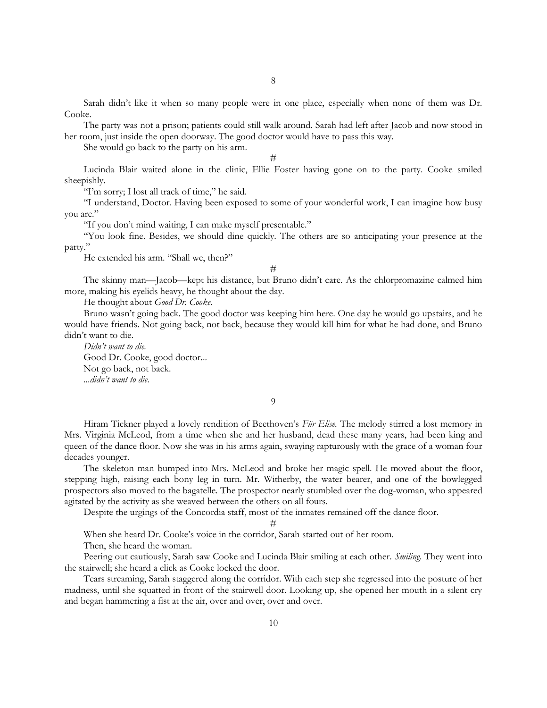Sarah didn't like it when so many people were in one place, especially when none of them was Dr. Cooke.

The party was not a prison; patients could still walk around. Sarah had left after Jacob and now stood in her room, just inside the open doorway. The good doctor would have to pass this way.

She would go back to the party on his arm.

#

Lucinda Blair waited alone in the clinic, Ellie Foster having gone on to the party. Cooke smiled sheepishly.

"I'm sorry; I lost all track of time," he said.

"I understand, Doctor. Having been exposed to some of your wonderful work, I can imagine how busy you are."

"If you don't mind waiting, I can make myself presentable."

"You look fine. Besides, we should dine quickly. The others are so anticipating your presence at the party."

He extended his arm. "Shall we, then?"

#

The skinny man—Jacob—kept his distance, but Bruno didn't care. As the chlorpromazine calmed him more, making his eyelids heavy, he thought about the day.

He thought about *Good Dr. Cooke.*

Bruno wasn't going back. The good doctor was keeping him here. One day he would go upstairs, and he would have friends. Not going back, not back, because they would kill him for what he had done, and Bruno didn't want to die.

*Didn't want to die.* Good Dr. Cooke, good doctor... Not go back, not back. *...didn't want to die.*

9

Hiram Tickner played a lovely rendition of Beethoven's *Für Elise.* The melody stirred a lost memory in Mrs. Virginia McLeod, from a time when she and her husband, dead these many years, had been king and queen of the dance floor. Now she was in his arms again, swaying rapturously with the grace of a woman four decades younger.

The skeleton man bumped into Mrs. McLeod and broke her magic spell. He moved about the floor, stepping high, raising each bony leg in turn. Mr. Witherby, the water bearer, and one of the bowlegged prospectors also moved to the bagatelle. The prospector nearly stumbled over the dog-woman, who appeared agitated by the activity as she weaved between the others on all fours.

Despite the urgings of the Concordia staff, most of the inmates remained off the dance floor.

#

When she heard Dr. Cooke's voice in the corridor, Sarah started out of her room.

Then, she heard the woman.

Peering out cautiously, Sarah saw Cooke and Lucinda Blair smiling at each other. *Smiling*. They went into the stairwell; she heard a click as Cooke locked the door.

Tears streaming, Sarah staggered along the corridor. With each step she regressed into the posture of her madness, until she squatted in front of the stairwell door. Looking up, she opened her mouth in a silent cry and began hammering a fist at the air, over and over, over and over.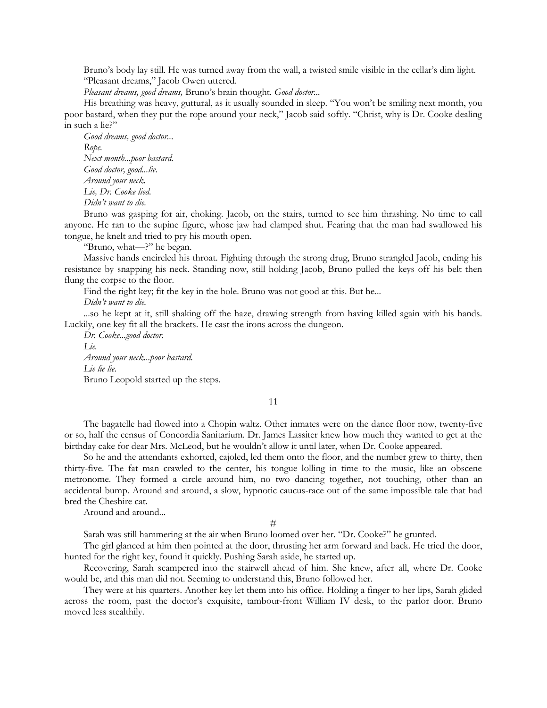Bruno's body lay still. He was turned away from the wall, a twisted smile visible in the cellar's dim light. "Pleasant dreams," Jacob Owen uttered.

*Pleasant dreams, good dreams,* Bruno's brain thought. *Good doctor...*

His breathing was heavy, guttural, as it usually sounded in sleep. "You won't be smiling next month, you poor bastard, when they put the rope around your neck," Jacob said softly. "Christ, why is Dr. Cooke dealing in such a lie?"

*Good dreams, good doctor... Rope. Next month...poor bastard. Good doctor, good...lie. Around your neck. Lie, Dr. Cooke lied. Didn't want to die.*

Bruno was gasping for air, choking. Jacob, on the stairs, turned to see him thrashing. No time to call anyone. He ran to the supine figure, whose jaw had clamped shut. Fearing that the man had swallowed his tongue, he knelt and tried to pry his mouth open.

"Bruno, what—?" he began.

Massive hands encircled his throat. Fighting through the strong drug, Bruno strangled Jacob, ending his resistance by snapping his neck. Standing now, still holding Jacob, Bruno pulled the keys off his belt then flung the corpse to the floor.

Find the right key; fit the key in the hole. Bruno was not good at this. But he...

*Didn't want to die.*

...so he kept at it, still shaking off the haze, drawing strength from having killed again with his hands. Luckily, one key fit all the brackets. He cast the irons across the dungeon.

*Dr. Cooke...good doctor. Lie. Around your neck...poor bastard. Lie lie lie.* Bruno Leopold started up the steps.

11

The bagatelle had flowed into a Chopin waltz. Other inmates were on the dance floor now, twenty-five or so, half the census of Concordia Sanitarium. Dr. James Lassiter knew how much they wanted to get at the birthday cake for dear Mrs. McLeod, but he wouldn't allow it until later, when Dr. Cooke appeared.

So he and the attendants exhorted, cajoled, led them onto the floor, and the number grew to thirty, then thirty-five. The fat man crawled to the center, his tongue lolling in time to the music, like an obscene metronome. They formed a circle around him, no two dancing together, not touching, other than an accidental bump. Around and around, a slow, hypnotic caucus-race out of the same impossible tale that had bred the Cheshire cat.

Around and around...

 $#$ 

Sarah was still hammering at the air when Bruno loomed over her. "Dr. Cooke?" he grunted.

The girl glanced at him then pointed at the door, thrusting her arm forward and back. He tried the door, hunted for the right key, found it quickly. Pushing Sarah aside, he started up.

Recovering, Sarah scampered into the stairwell ahead of him. She knew, after all, where Dr. Cooke would be, and this man did not. Seeming to understand this, Bruno followed her.

They were at his quarters. Another key let them into his office. Holding a finger to her lips, Sarah glided across the room, past the doctor's exquisite, tambour-front William IV desk, to the parlor door. Bruno moved less stealthily.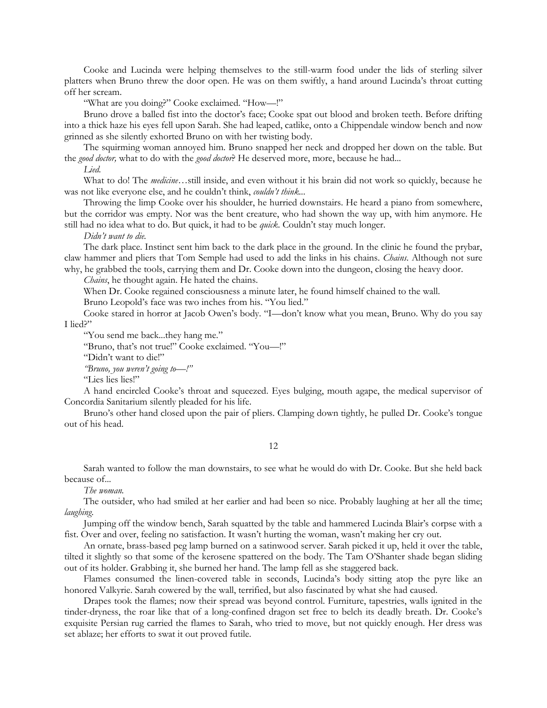Cooke and Lucinda were helping themselves to the still-warm food under the lids of sterling silver platters when Bruno threw the door open. He was on them swiftly, a hand around Lucinda's throat cutting off her scream.

"What are you doing?" Cooke exclaimed. "How—!"

Bruno drove a balled fist into the doctor's face; Cooke spat out blood and broken teeth. Before drifting into a thick haze his eyes fell upon Sarah. She had leaped, catlike, onto a Chippendale window bench and now grinned as she silently exhorted Bruno on with her twisting body.

The squirming woman annoyed him. Bruno snapped her neck and dropped her down on the table. But the *good doctor,* what to do with the *good doctor*? He deserved more, more, because he had...

*Lied.*

What to do! The *medicine*…still inside, and even without it his brain did not work so quickly, because he was not like everyone else, and he couldn't think, *couldn't think...*

Throwing the limp Cooke over his shoulder, he hurried downstairs. He heard a piano from somewhere, but the corridor was empty. Nor was the bent creature, who had shown the way up, with him anymore. He still had no idea what to do. But quick, it had to be *quick*. Couldn't stay much longer.

*Didn't want to die.*

The dark place. Instinct sent him back to the dark place in the ground. In the clinic he found the prybar, claw hammer and pliers that Tom Semple had used to add the links in his chains. *Chains*. Although not sure why, he grabbed the tools, carrying them and Dr. Cooke down into the dungeon, closing the heavy door.

*Chains*, he thought again. He hated the chains.

When Dr. Cooke regained consciousness a minute later, he found himself chained to the wall.

Bruno Leopold's face was two inches from his. "You lied."

Cooke stared in horror at Jacob Owen's body. "I—don't know what you mean, Bruno. Why do you say I lied?"

"You send me back...they hang me."

"Bruno, that's not true!" Cooke exclaimed. "You—!"

"Didn't want to die!"

*"Bruno, you weren't going to—!"*

"Lies lies lies!"

A hand encircled Cooke's throat and squeezed. Eyes bulging, mouth agape, the medical supervisor of Concordia Sanitarium silently pleaded for his life.

Bruno's other hand closed upon the pair of pliers. Clamping down tightly, he pulled Dr. Cooke's tongue out of his head.

12

Sarah wanted to follow the man downstairs, to see what he would do with Dr. Cooke. But she held back because of...

*The woman.*

The outsider, who had smiled at her earlier and had been so nice. Probably laughing at her all the time; *laughing*.

Jumping off the window bench, Sarah squatted by the table and hammered Lucinda Blair's corpse with a fist. Over and over, feeling no satisfaction. It wasn't hurting the woman, wasn't making her cry out.

An ornate, brass-based peg lamp burned on a satinwood server. Sarah picked it up, held it over the table, tilted it slightly so that some of the kerosene spattered on the body. The Tam O'Shanter shade began sliding out of its holder. Grabbing it, she burned her hand. The lamp fell as she staggered back.

Flames consumed the linen-covered table in seconds, Lucinda's body sitting atop the pyre like an honored Valkyrie. Sarah cowered by the wall, terrified, but also fascinated by what she had caused.

Drapes took the flames; now their spread was beyond control. Furniture, tapestries, walls ignited in the tinder-dryness, the roar like that of a long-confined dragon set free to belch its deadly breath. Dr. Cooke's exquisite Persian rug carried the flames to Sarah, who tried to move, but not quickly enough. Her dress was set ablaze; her efforts to swat it out proved futile.